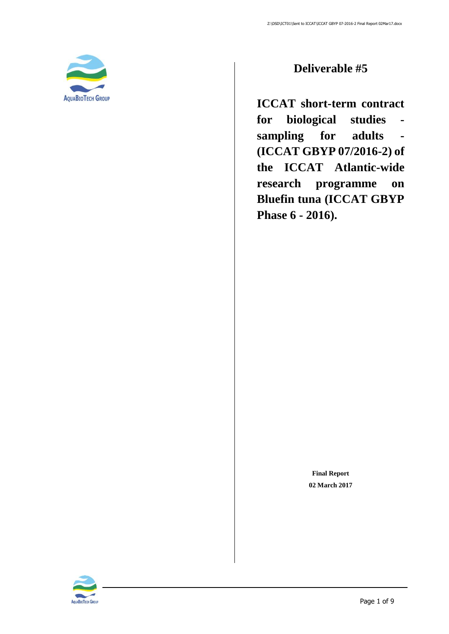

### **Deliverable #5**

**ICCAT short-term contract for biological studies sampling for adults - (ICCAT GBYP 07/2016-2) of the ICCAT Atlantic-wide research programme on Bluefin tuna (ICCAT GBYP Phase 6 - 2016).**

> **Final Report 02 March 2017**

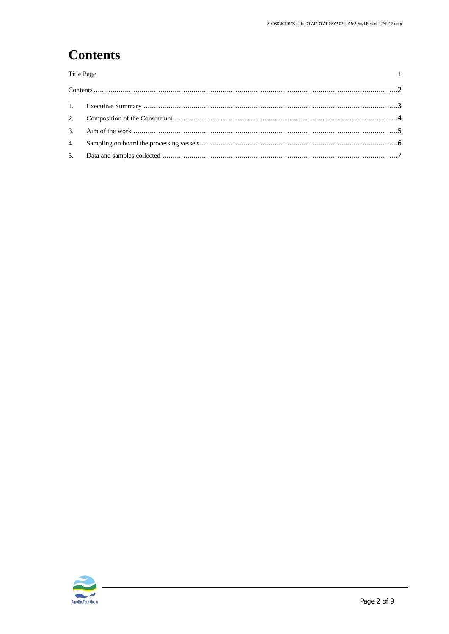$\mathbf 1$ 

# <span id="page-1-0"></span>**Contents**

Title Page

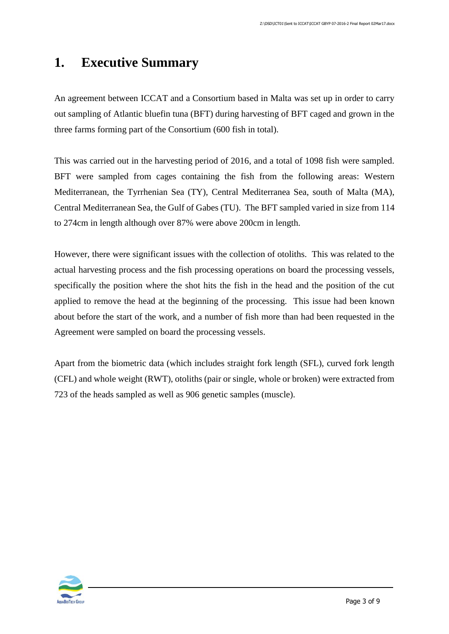### <span id="page-2-0"></span>**1. Executive Summary**

An agreement between ICCAT and a Consortium based in Malta was set up in order to carry out sampling of Atlantic bluefin tuna (BFT) during harvesting of BFT caged and grown in the three farms forming part of the Consortium (600 fish in total).

This was carried out in the harvesting period of 2016, and a total of 1098 fish were sampled. BFT were sampled from cages containing the fish from the following areas: Western Mediterranean, the Tyrrhenian Sea (TY), Central Mediterranea Sea, south of Malta (MA), Central Mediterranean Sea, the Gulf of Gabes (TU). The BFT sampled varied in size from 114 to 274cm in length although over 87% were above 200cm in length.

However, there were significant issues with the collection of otoliths. This was related to the actual harvesting process and the fish processing operations on board the processing vessels, specifically the position where the shot hits the fish in the head and the position of the cut applied to remove the head at the beginning of the processing. This issue had been known about before the start of the work, and a number of fish more than had been requested in the Agreement were sampled on board the processing vessels.

Apart from the biometric data (which includes straight fork length (SFL), curved fork length (CFL) and whole weight (RWT), otoliths (pair or single, whole or broken) were extracted from 723 of the heads sampled as well as 906 genetic samples (muscle).

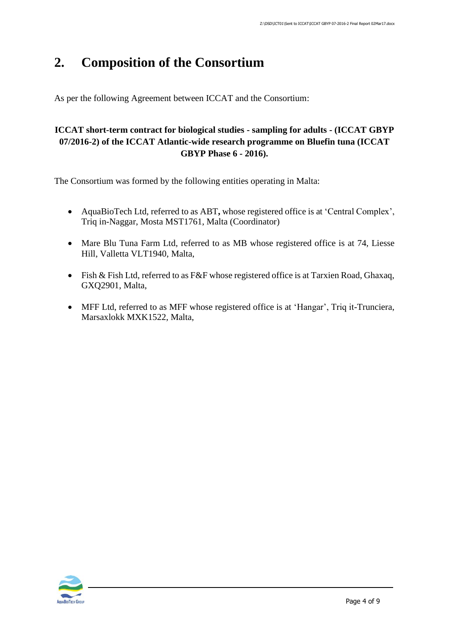### <span id="page-3-0"></span>**2. Composition of the Consortium**

As per the following Agreement between ICCAT and the Consortium:

#### **ICCAT short-term contract for biological studies - sampling for adults - (ICCAT GBYP 07/2016-2) of the ICCAT Atlantic-wide research programme on Bluefin tuna (ICCAT GBYP Phase 6 - 2016).**

The Consortium was formed by the following entities operating in Malta:

- AquaBioTech Ltd, referred to as ABT**,** whose registered office is at 'Central Complex', Triq in-Naggar, Mosta MST1761, Malta (Coordinator)
- Mare Blu Tuna Farm Ltd, referred to as MB whose registered office is at 74, Liesse Hill, Valletta VLT1940, Malta,
- Fish & Fish Ltd, referred to as F&F whose registered office is at Tarxien Road, Ghaxaq, GXQ2901, Malta,
- MFF Ltd, referred to as MFF whose registered office is at 'Hangar', Triq it-Trunciera, Marsaxlokk MXK1522, Malta,

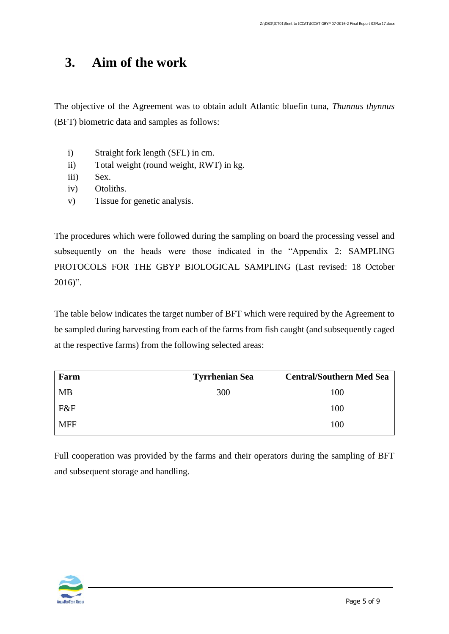## <span id="page-4-0"></span>**3. Aim of the work**

The objective of the Agreement was to obtain adult Atlantic bluefin tuna, *Thunnus thynnus* (BFT) biometric data and samples as follows:

- i) Straight fork length (SFL) in cm.
- ii) Total weight (round weight, RWT) in kg.
- iii) Sex.
- iv) Otoliths.
- v) Tissue for genetic analysis.

The procedures which were followed during the sampling on board the processing vessel and subsequently on the heads were those indicated in the "Appendix 2: SAMPLING PROTOCOLS FOR THE GBYP BIOLOGICAL SAMPLING (Last revised: 18 October 2016)".

The table below indicates the target number of BFT which were required by the Agreement to be sampled during harvesting from each of the farms from fish caught (and subsequently caged at the respective farms) from the following selected areas:

| Farm       | <b>Tyrrhenian Sea</b> | <b>Central/Southern Med Sea</b> |
|------------|-----------------------|---------------------------------|
| <b>MB</b>  | 300                   | 100                             |
| F&F        |                       | 100                             |
| <b>MFF</b> |                       | 100                             |

Full cooperation was provided by the farms and their operators during the sampling of BFT and subsequent storage and handling.

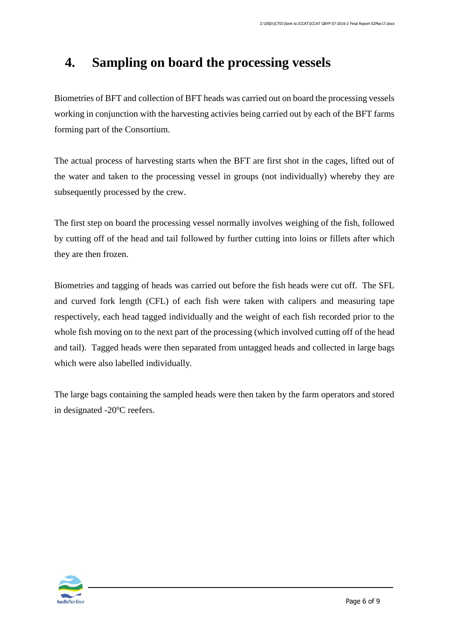## <span id="page-5-0"></span>**4. Sampling on board the processing vessels**

Biometries of BFT and collection of BFT heads was carried out on board the processing vessels working in conjunction with the harvesting activies being carried out by each of the BFT farms forming part of the Consortium.

The actual process of harvesting starts when the BFT are first shot in the cages, lifted out of the water and taken to the processing vessel in groups (not individually) whereby they are subsequently processed by the crew.

The first step on board the processing vessel normally involves weighing of the fish, followed by cutting off of the head and tail followed by further cutting into loins or fillets after which they are then frozen.

Biometries and tagging of heads was carried out before the fish heads were cut off. The SFL and curved fork length (CFL) of each fish were taken with calipers and measuring tape respectively, each head tagged individually and the weight of each fish recorded prior to the whole fish moving on to the next part of the processing (which involved cutting off of the head and tail). Tagged heads were then separated from untagged heads and collected in large bags which were also labelled individually.

The large bags containing the sampled heads were then taken by the farm operators and stored in designated  $-20^{\circ}$ C reefers.

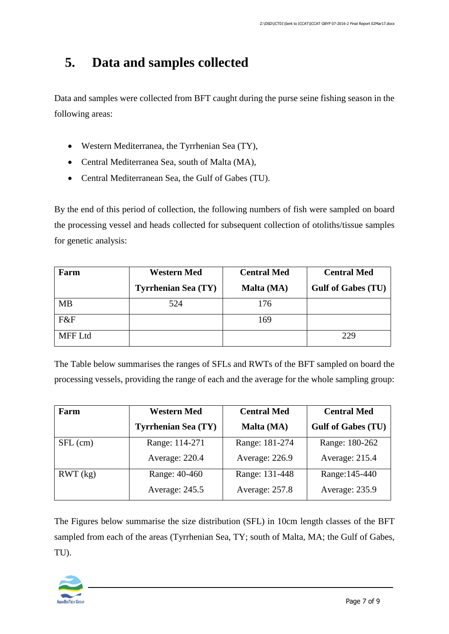## <span id="page-6-0"></span>**5. Data and samples collected**

Data and samples were collected from BFT caught during the purse seine fishing season in the following areas:

- Western Mediterranea, the Tyrrhenian Sea (TY),
- Central Mediterranea Sea, south of Malta (MA),
- Central Mediterranean Sea, the Gulf of Gabes (TU).

By the end of this period of collection, the following numbers of fish were sampled on board the processing vessel and heads collected for subsequent collection of otoliths/tissue samples for genetic analysis:

| Farm           | <b>Western Med</b>         | <b>Central Med</b> | <b>Central Med</b>        |
|----------------|----------------------------|--------------------|---------------------------|
|                | <b>Tyrrhenian Sea (TY)</b> | Malta (MA)         | <b>Gulf of Gabes (TU)</b> |
| <b>MB</b>      | 524                        | 176                |                           |
| F&F            |                            | 169                |                           |
| <b>MFF Ltd</b> |                            |                    | 229                       |

The Table below summarises the ranges of SFLs and RWTs of the BFT sampled on board the processing vessels, providing the range of each and the average for the whole sampling group:

| Farm       | <b>Western Med</b>         | <b>Central Med</b> | <b>Central Med</b>        |
|------------|----------------------------|--------------------|---------------------------|
|            | <b>Tyrrhenian Sea (TY)</b> | Malta (MA)         | <b>Gulf of Gabes (TU)</b> |
| $SFL$ (cm) | Range: 114-271             | Range: 181-274     | Range: 180-262            |
|            | Average: 220.4             | Average: 226.9     | Average: 215.4            |
| RWT (kg)   | Range: 40-460              | Range: 131-448     | Range: 145-440            |
|            | Average: 245.5             | Average: 257.8     | Average: 235.9            |

The Figures below summarise the size distribution (SFL) in 10cm length classes of the BFT sampled from each of the areas (Tyrrhenian Sea, TY; south of Malta, MA; the Gulf of Gabes, TU).

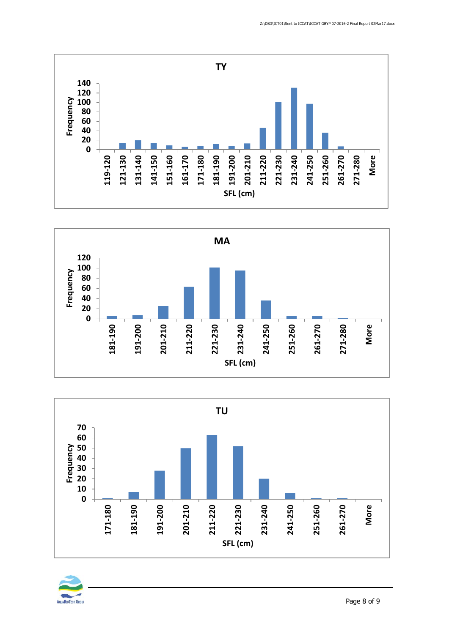